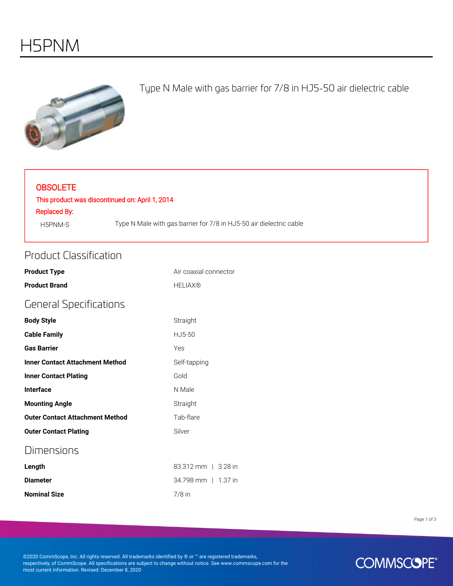

#### Type N Male with gas barrier for 7/8 in HJ5-50 air dielectric cable

#### **OBSOLETE**

#### This product was discontinued on: April 1, 2014

Replaced By:

H5PNM-S Type N Male with gas barrier for 7/8 in HJ5-50 air dielectric cable

#### Product Classification

| <b>Product Type</b>                    | Air coaxial connector |
|----------------------------------------|-----------------------|
| <b>Product Brand</b>                   | <b>HELIAX®</b>        |
| <b>General Specifications</b>          |                       |
| <b>Body Style</b>                      | Straight              |
| <b>Cable Family</b>                    | HJ5-50                |
| <b>Gas Barrier</b>                     | Yes                   |
| <b>Inner Contact Attachment Method</b> | Self-tapping          |
| <b>Inner Contact Plating</b>           | Gold                  |
| <b>Interface</b>                       | N Male                |
| <b>Mounting Angle</b>                  | Straight              |
| <b>Outer Contact Attachment Method</b> | Tab-flare             |
| <b>Outer Contact Plating</b>           | Silver                |
| Dimensions                             |                       |
| Length                                 | 83.312 mm   3.28 in   |
| <b>Diameter</b>                        | 34.798 mm   1.37 in   |
| <b>Nominal Size</b>                    | $7/8$ in              |

Page 1 of 3

©2020 CommScope, Inc. All rights reserved. All trademarks identified by ® or ™ are registered trademarks, respectively, of CommScope. All specifications are subject to change without notice. See www.commscope.com for the most current information. Revised: December 8, 2020

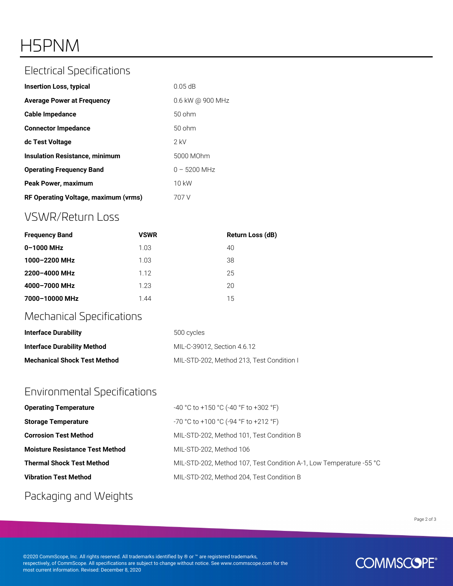# H5PNM

#### Electrical Specifications

| <b>Insertion Loss, typical</b>        | $0.05$ dB        |
|---------------------------------------|------------------|
| <b>Average Power at Frequency</b>     | 0.6 kW @ 900 MHz |
| Cable Impedance                       | $50$ ohm         |
| <b>Connector Impedance</b>            | $50$ ohm         |
| dc Test Voltage                       | $2$ kV           |
| <b>Insulation Resistance, minimum</b> | 5000 MOhm        |
| <b>Operating Frequency Band</b>       | $0 - 5200$ MHz   |
| Peak Power, maximum                   | 10 kW            |
| RF Operating Voltage, maximum (vrms)  | 707 V            |

### VSWR/Return Loss

| <b>Frequency Band</b> | <b>VSWR</b> | Return Loss (dB) |
|-----------------------|-------------|------------------|
| 0-1000 MHz            | 1.03        | 40               |
| 1000-2200 MHz         | 1.03        | 38               |
| 2200-4000 MHz         | 1.12        | 25               |
| 4000-7000 MHz         | 1.23        | 20               |
| 7000-10000 MHz        | 1.44        | 15               |

### Mechanical Specifications

| <b>Interface Durability</b>         | 500 cycles                                |
|-------------------------------------|-------------------------------------------|
| Interface Durability Method         | MIL-C-39012. Section 4.6.12               |
| <b>Mechanical Shock Test Method</b> | MIL-STD-202, Method 213, Test Condition I |

#### Environmental Specifications

| <b>Operating Temperature</b>           | $-40$ °C to +150 °C (-40 °F to +302 °F)                             |
|----------------------------------------|---------------------------------------------------------------------|
| <b>Storage Temperature</b>             | -70 °C to +100 °C (-94 °F to +212 °F)                               |
| <b>Corrosion Test Method</b>           | MIL-STD-202, Method 101, Test Condition B                           |
| <b>Moisture Resistance Test Method</b> | MIL-STD-202. Method 106                                             |
| <b>Thermal Shock Test Method</b>       | MIL-STD-202, Method 107, Test Condition A-1, Low Temperature -55 °C |
| <b>Vibration Test Method</b>           | MIL-STD-202, Method 204, Test Condition B                           |

#### Packaging and Weights

Page 2 of 3

©2020 CommScope, Inc. All rights reserved. All trademarks identified by ® or ™ are registered trademarks, respectively, of CommScope. All specifications are subject to change without notice. See www.commscope.com for the most current information. Revised: December 8, 2020